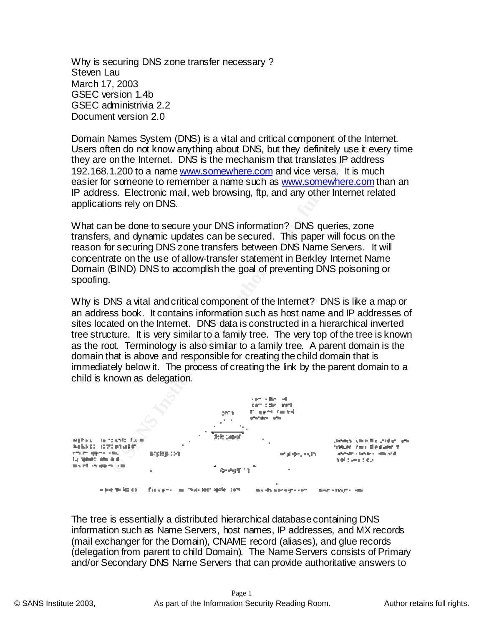Why is securing DNS zone transfer necessary ? Steven Lau March 17, 2003 GSEC version 1.4b GSEC administrivia 2.2 Document version 2.0

IP address. Electronic mail, web browsing, ftp, and any other Internet related Domain Names System (DNS) is a vital and critical component of the Internet. Users often do not know anything about DNS, but they definitely use it every time they are on the Internet. DNS is the mechanism that translates IP address 192.168.1.200 to a name www.somewhere.com and vice versa. It is much easier for someone to remember a name such as www.somewhere.com than an applications rely on DNS.

What can be done to secure your DNS information? DNS queries, zone transfers, and dynamic updates can be secured. This paper will focus on the reason for securing DNS zone transfers between DNS Name Servers. It will concentrate on the use of allow-transfer statement in Berkley Internet Name Domain (BIND) DNS to accomplish the goal of preventing DNS poisoning or spoofing.

Why is DNS a vital and critical component of the Internet? DNS is like a map or an address book. It contains information such as host name and IP addresses of sites located on the Internet. DNS data is constructed in a hierarchical inverted tree structure. It is very similar to a family tree. The very top of the tree is known as the root. Terminology is also similar to a family tree. A parent domain is the domain that is above and responsible for creating the child domain that is immediately below it. The process of creating the link by the parent domain to a child is known as delegation.



The tree is essentially a distributed hierarchical database containing DNS information such as Name Servers, host names, IP addresses, and MX records (mail exchanger for the Domain), CNAME record (aliases), and glue records (delegation from parent to child Domain). The Name Servers consists of Primary and/or Secondary DNS Name Servers that can provide authoritative answers to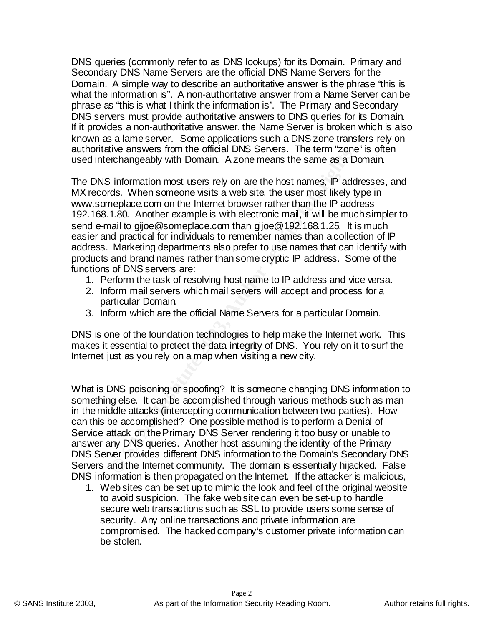DNS queries (commonly refer to as DNS lookups) for its Domain. Primary and Secondary DNS Name Servers are the official DNS Name Servers for the Domain. A simple way to describe an authoritative answer is the phrase "this is what the information is". A non-authoritative answer from a Name Server can be phrase as "this is what I think the information is". The Primary and Secondary DNS servers must provide authoritative answers to DNS queries for its Domain. If it provides a non-authoritative answer, the Name Server is broken which is also known as a lame server. Some applications such a DNS zone transfers rely on authoritative answers from the official DNS Servers. The term "zone" is often used interchangeably with Domain. A zone means the same as a Domain.

We alswers from the bindar Dhos Servets. The term Zoher, the term scales information most users rely on are the host names,  $P$  adds. When someone wisits a web site, the user most likely the place com on the Internet brows MX records. When someone visits a web site, the user most likely type in The DNS information most users rely on are the host names, IP addresses, and www.someplace.com on the Internet browser rather than the IP address 192.168.1.80. Another example is with electronic mail, it will be much simpler to send e-mail to gijoe@someplace.com than gijoe@192.168.1.25. It is much easier and practical for individuals to remember names than a collection of IP address. Marketing departments also prefer to use names that can identify with products and brand names rather than some cryptic IP address. Some of the functions of DNS servers are:

- 1. Perform the task of resolving host name to IP address and vice versa.
- 2. Inform mail servers which mail servers will accept and process for a particular Domain.
- 3. Inform which are the official Name Servers for a particular Domain.

DNS is one of the foundation technologies to help make the Internet work. This makes it essential to protect the data integrity of DNS. You rely on it to surf the Internet just as you rely on a map when visiting a new city.

What is DNS poisoning or spoofing? It is someone changing DNS information to something else. It can be accomplished through various methods such as man in the middle attacks (intercepting communication between two parties). How can this be accomplished? One possible method is to perform a Denial of Service attack on the Primary DNS Server rendering it too busy or unable to answer any DNS queries. Another host assuming the identity of the Primary DNS Server provides different DNS information to the Domain's Secondary DNS Servers and the Internet community. The domain is essentially hijacked. False DNS information is then propagated on the Internet. If the attacker is malicious,

security. Any online transactions and private information are 1. Web sites can be set up to mimic the look and feel of the original website to avoid suspicion. The fake web site can even be set-up to handle secure web transactions such as SSL to provide users some sense of compromised. The hacked company's customer private information can be stolen.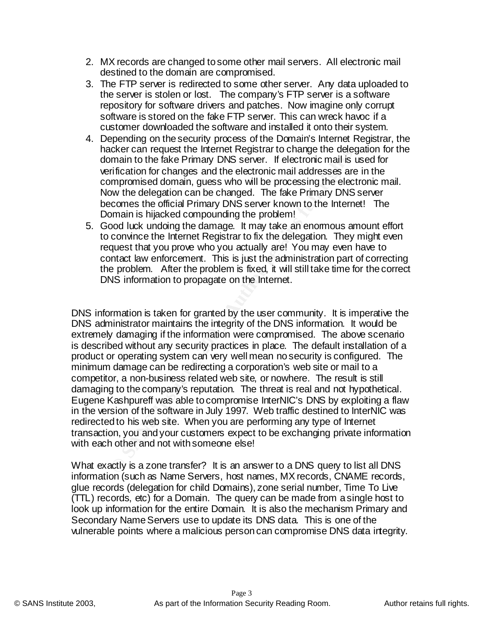- 2. MX records are changed to some other mail servers. All electronic mail destined to the domain are compromised.
- 3. The FTP server is redirected to some other server. Any data uploaded to the server is stolen or lost. The company's FTP server is a software repository for software drivers and patches. Now imagine only corrupt software is stored on the fake FTP server. This can wreck havoc if a customer downloaded the software and installed it onto their system.
- Now the delegation can be changed. The fake Primary DNS server 4. Depending on the security process of the Domain's Internet Registrar, the hacker can request the Internet Registrar to change the delegation for the domain to the fake Primary DNS server. If electronic mail is used for verification for changes and the electronic mail addresses are in the compromised domain, guess who will be processing the electronic mail. becomes the official Primary DNS server known to the Internet! The Domain is hijacked compounding the problem!
	- 5. Good luck undoing the damage. It may take an enormous amount effort to convince the Internet Registrar to fix the delegation. They might even request that you prove who you actually are! You may even have to contact law enforcement. This is just the administration part of correcting the problem. After the problem is fixed, it will still take time for the correct DNS information to propagate on the Internet.

motion to the mether registrant to change the deepther can be more to the more to the factronic mail is infication for changes and the electronic mail addresses are morporation for changes and the electronic mail addresses DNS information is taken for granted by the user community. It is imperative the DNS administrator maintains the integrity of the DNS information. It would be extremely damaging if the information were compromised. The above scenario is described without any security practices in place. The default installation of a product or operating system can very well mean no security is configured. The minimum damage can be redirecting a corporation's web site or mail to a competitor, a non-business related web site, or nowhere. The result is still damaging to the company's reputation. The threat is real and not hypothetical. Eugene Kashpureff was able to compromise InterNIC's DNS by exploiting a flaw in the version of the software in July 1997. Web traffic destined to InterNIC was redirected to his web site. When you are performing any type of Internet transaction, you and your customers expect to be exchanging private information with each other and not with someone else!

Secondary Name Servers use to update its DNS data. This is one of the What exactly is a zone transfer? It is an answer to a DNS query to list all DNS information (such as Name Servers, host names, MX records, CNAME records, glue records (delegation for child Domains), zone serial number, Time To Live (TTL) records, etc) for a Domain. The query can be made from a single host to look up information for the entire Domain. It is also the mechanism Primary and vulnerable points where a malicious person can compromise DNS data integrity.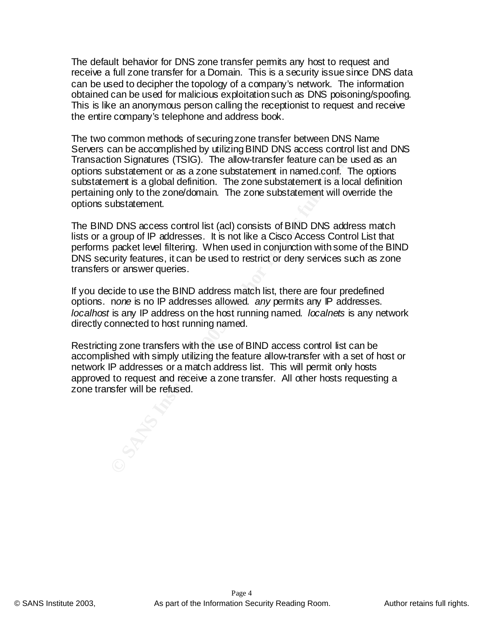The default behavior for DNS zone transfer permits any host to request and receive a full zone transfer for a Domain. This is a security issue since DNS data can be used to decipher the topology of a company's network. The information obtained can be used for malicious exploitation such as DNS poisoning/spoofing. This is like an anonymous person calling the receptionist to request and receive the entire company's telephone and address book.

From Signial Durating Dinut in San Scots Control Signature and Din Signatures (TSIG). The allow-transfer feature can be used ustatement or as a zone substatement in named.conf. The grobal definition. The zone substatement pertaining only to the zone/domain. The zone substatement will override the The two common methods of securing zone transfer between DNS Name Servers can be accomplished by utilizing BIND DNS access control list and DNS Transaction Signatures (TSIG). The allow-transfer feature can be used as an options substatement or as a zone substatement in named.conf. The options substatement is a global definition. The zone substatement is a local definition options substatement.

The BIND DNS access control list (acl) consists of BIND DNS address match lists or a group of IP addresses. It is not like a Cisco Access Control List that performs packet level filtering. When used in conjunction with some of the BIND DNS security features, it can be used to restrict or deny services such as zone transfers or answer queries.

If you decide to use the BIND address match list, there are four predefined options. n*one* is no IP addresses allowed. *any* permits any IP addresses. *localhost* is any IP address on the host running named. *localnets* is any network directly connected to host running named.

Restricting zone transfers with the use of BIND access control list can be accomplished with simply utilizing the feature allow-transfer with a set of host or network IP addresses or a match address list. This will permit only hosts approved to request and receive a zone transfer. All other hosts requesting a zone transfer will be refused.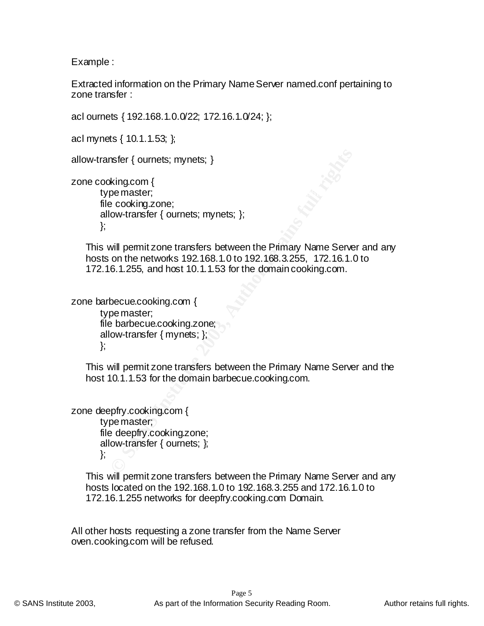Example :

Extracted information on the Primary Name Server named.conf pertaining to zone transfer :

acl ournets { 192.168.1.0.0/22; 172.16.1.0/24; };

acl mynets { 10.1.1.53; };

allow-transfer { ournets; mynets; }

type master; the affiliation of the state  $\mathbb{R}^n$ zone cooking.com { file cooking.zone; allow-transfer { ournets; mynets; }; };

mater { ournets; mynets; }<br>
king.com {<br>
pe master;<br>
e cooking.zone;<br>
cooking.zone;<br>
will permit zone transfers between the Primary Name Serve<br>
on the networks 192.168.1.0 to 192.168.3.255, 172.16.1.6.<br>
6.1.255, and host 10 This will permit zone transfers between the Primary Name Server and any hosts on the networks 192.168.1.0 to 192.168.3.255, 172.16.1.0 to 172.16.1.255, and host 10.1.1.53 for the domain cooking.com.

zone barbecue.cooking.com { type master; file barbecue.cooking.zone; allow-transfer { mynets; };

};

This will permit zone transfers between the Primary Name Server and the host 10.1.1.53 for the domain barbecue.cooking.com.

zone deepfry.cooking.com { type master; file deepfry.cooking.zone; allow-transfer { ournets; }; };

> This will permit zone transfers between the Primary Name Server and any hosts located on the 192.168.1.0 to 192.168.3.255 and 172.16.1.0 to 172.16.1.255 networks for deepfry.cooking.com Domain.

All other hosts requesting a zone transfer from the Name Server oven.cooking.com will be refused.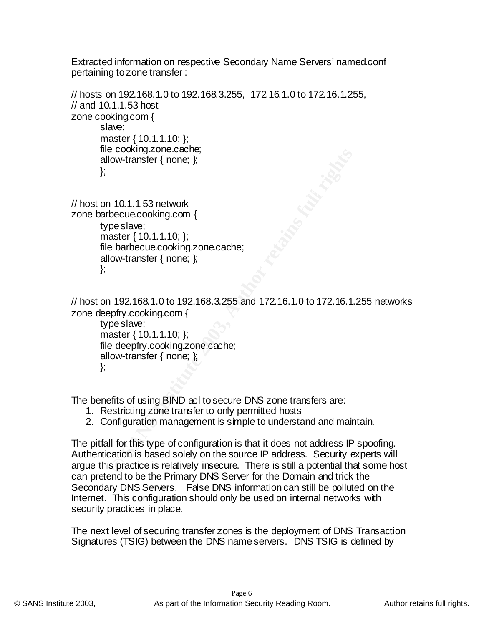Extracted information on respective Secondary Name Servers' named.conf pertaining to zone transfer :

```
Example 2018<br>
CONFINGTOR: (We also discussed and the same of the same of the same of the same state (10.1.1.10; );<br>
aster (10.1.1.10; );<br>
aster (10.1.1.10; );<br>
DEFECANT AUTE 2018 1.0 to 192.168.3.255 and 172.16.1.0 t
// hosts on 192.168.1.0 to 192.168.3.255, 172.16.1.0 to 172.16.1.255, 
// and 10.1.1.53 host
zone cooking.com {
         slave;
         master { 10.1.1.10; };
         file cooking.zone.cache;
         allow-transfer { none; };
         };
// host on 10.1.1.53 network
zone barbecue.cooking.com {
         type slave;
         master { 10.1.1.10; };
         file barbecue.cooking.zone.cache;
         allow-transfer { none; };
         };
```
// host on 192.168.1.0 to 192.168.3.255 and 172.16.1.0 to 172.16.1.255 networks zone deepfry.cooking.com {

type slave; master { 10.1.1.10; }; file deepfry.cooking.zone.cache; allow-transfer { none; }; };

The benefits of using BIND acl to secure DNS zone transfers are:

- 1. Restricting zone transfer to only permitted hosts
- 2. Configuration management is simple to understand and maintain.

The pitfall for this type of configuration is that it does not address IP spoofing. Authentication is based solely on the source IP address. Security experts will argue this practice is relatively insecure. There is still a potential that some host can pretend to be the Primary DNS Server for the Domain and trick the Secondary DNS Servers. False DNS information can still be polluted on the Internet. This configuration should only be used on internal networks with security practices in place.

The next level of securing transfer zones is the deployment of DNS Transaction Signatures (TSIG) between the DNS name servers. DNS TSIG is defined by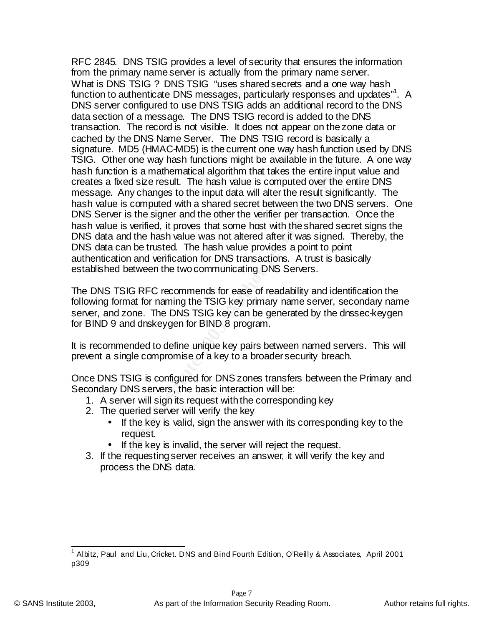**EXALITS (THIVAC-VHUDS)** is the content to the way hash functions in the tractive of the form of the form of the form of the form of the form of the form of the form of the form of the form of the form of the form of the f message. Any changes to the input data will alter the result significantly. The RFC 2845. DNS TSIG provides a level of security that ensures the information from the primary name server is actually from the primary name server. What is DNS TSIG ? DNS TSIG "uses shared secrets and a one way hash function to authenticate DNS messages, particularly responses and updates"<sup>1</sup>. A DNS server configured to use DNS TSIG adds an additional record to the DNS data section of a message. The DNS TSIG record is added to the DNS transaction. The record is not visible. It does not appear on the zone data or cached by the DNS Name Server. The DNS TSIG record is basically a signature. MD5 (HMAC-MD5) is the current one way hash function used by DNS TSIG. Other one way hash functions might be available in the future. A one way hash function is a mathematical algorithm that takes the entire input value and creates a fixed size result. The hash value is computed over the entire DNS hash value is computed with a shared secret between the two DNS servers. One DNS Server is the signer and the other the verifier per transaction. Once the hash value is verified, it proves that some host with the shared secret signs the DNS data and the hash value was not altered after it was signed. Thereby, the DNS data can be trusted. The hash value provides a point to point authentication and verification for DNS transactions. A trust is basically established between the two communicating DNS Servers.

The DNS TSIG RFC recommends for ease of readability and identification the following format for naming the TSIG key primary name server, secondary name server, and zone. The DNS TSIG key can be generated by the dnssec-keygen for BIND 9 and dnskeygen for BIND 8 program.

It is recommended to define unique key pairs between named servers. This will prevent a single compromise of a key to a broader security breach.

Once DNS TSIG is configured for DNS zones transfers between the Primary and Secondary DNS servers, the basic interaction will be:

- 1. A server will sign its request with the corresponding key
- 2. The queried server will verify the key
	- If the key is valid, sign the answer with its corresponding key to the request.
	- If the key is invalid, the server will reject the request.
- 3. If the requesting server receives an answer, it will verify the key and process the DNS data.

 1 Albitz, Paul and Liu, Cricket. DNS and Bind Fourth Edition, O'Reilly & Associates, April 2001 p309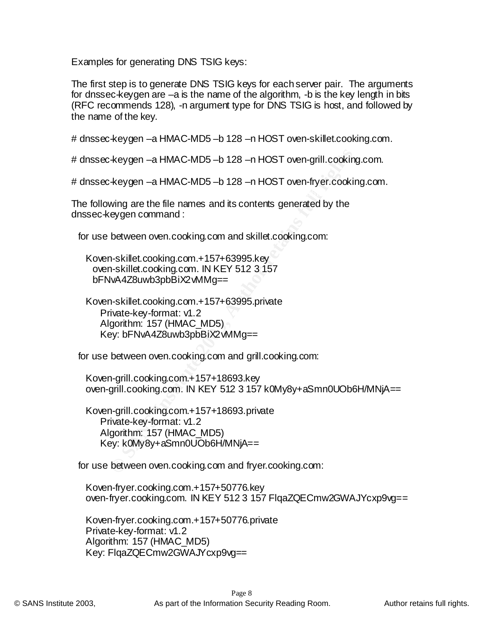Examples for generating DNS TSIG keys:

The first step is to generate DNS TSIG keys for each server pair. The arguments for dnssec-keygen are –a is the name of the algorithm, -b is the key length in bits (RFC recommends 128), -n argument type for DNS TSIG is host, and followed by the name of the key.

# dnssec-keygen –a HMAC-MD5 –b 128 –n HOST oven-skillet.cooking.com.

# dnssec-keygen –a HMAC-MD5 –b 128 –n HOST oven-grill.cooking.com.

# dnssec-keygen –a HMAC-MD5 –b 128 –n HOST oven-fryer.cooking.com.

The following are the file names and its contents generated by the dnssec-keygen command :

for use between oven.cooking.com and skillet.cooking.com:

**Example 1** – a HMAC-MD5 – b 128 – n HOST oven-grill.cooking<br>
Keygen – a HMAC-MD5 – b 128 – n HOST oven-fryer.cookin<br>
wing are the file names and its contents generated by the<br>
eygen command :<br>
between oven.cooking.com and Koven-skillet.cooking.com.+157+63995.private Private-key-format: v1.2 Algorithm: 157 (HMAC\_MD5) Key: bFNvA4Z8uwb3pbBiX2vMMg==

for use between oven.cooking.com and grill.cooking.com:

Koven-grill.cooking.com.+157+18693.key oven-grill.cooking.com. IN KEY 512 3 157 k0My8y+aSmn0UOb6H/MNjA==

Koven-grill.cooking.com.+157+18693.private Private-key-format: v1.2 Algorithm: 157 (HMAC\_MD5) Key: k0My8y+aSmn0UOb6H/MNjA==

for use between oven.cooking.com and fryer.cooking.com:

Koven-fryer.cooking.com.+157+50776.key oven-fryer.cooking.com. IN KEY 512 3 157 FlqaZQECmw2GWAJYcxp9vg==

Koven-fryer.cooking.com.+157+50776.private Private-key-format: v1.2 Algorithm: 157 (HMAC\_MD5) Key: FlqaZQECmw2GWAJYcxp9vg==

Koven-skillet.cooking.com.+157+63995.key oven-skillet.cooking.com. IN KEY 512 3 157 bFNvA4Z8uwb3pbBiX2vMMg==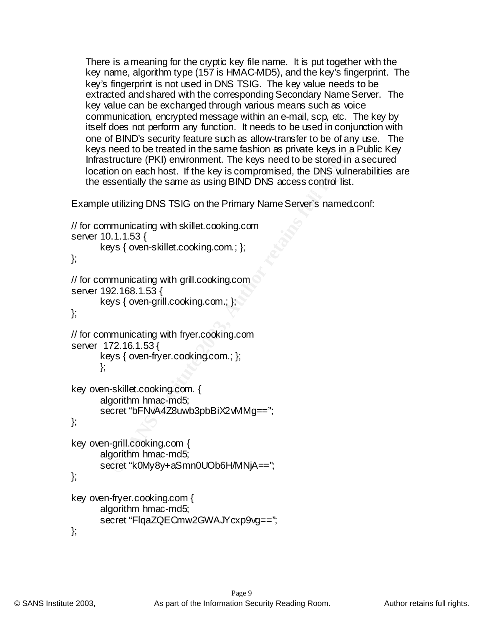There is a meaning for the cryptic key file name. It is put together with the key name, algorithm type (157 is HMAC-MD5), and the key's fingerprint. The key's fingerprint is not used in DNS TSIG. The key value needs to be extracted and shared with the corresponding Secondary Name Server. The key value can be exchanged through various means such as voice communication, encrypted message within an e-mail, scp, etc. The key by itself does not perform any function. It needs to be used in conjunction with one of BIND's security feature such as allow-transfer to be of any use. The keys need to be treated in the same fashion as private keys in a Public Key Infrastructure (PKI) environment. The keys need to be stored in a secured location on each host. If the key is compromised, the DNS vulnerabilities are the essentially the same as using BIND DNS access control list.

Example utilizing DNS TSIG on the Primary Name Server's named.conf:

```
Heation the sale of the sale of the same assintate keys in a<br>tructure (PKI) environment. The keys need to be stored in a<br>on on each host. If the key is compromised, the DNS wilne<br>sentially the same as using BIND DNS access
secret "FlqaZQECmw2GWAJYcxp9vg==";
// for communicating with skillet.cooking.com
server 10.1.1.53 {
        keys { oven-skillet.cooking.com.; };
};
// for communicating with grill.cooking.com
server 192.168.1.53 {
        keys { oven-grill.cooking.com.; };
};
// for communicating with fryer.cooking.com
server 172.16.1.53 {
        keys { oven-fryer.cooking.com.; };
        };
key oven-skillet.cooking.com. {
        algorithm hmac-md5;
        secret "bFNvA4Z8uwb3pbBiX2vMMq==";
};
key oven-grill.cooking.com {
        algorithm hmac-md5;
        secret "k0My8y+aSmn0UOb6H/MNjA==";
};
key oven-fryer.cooking.com {
        algorithm hmac-md5;
};
```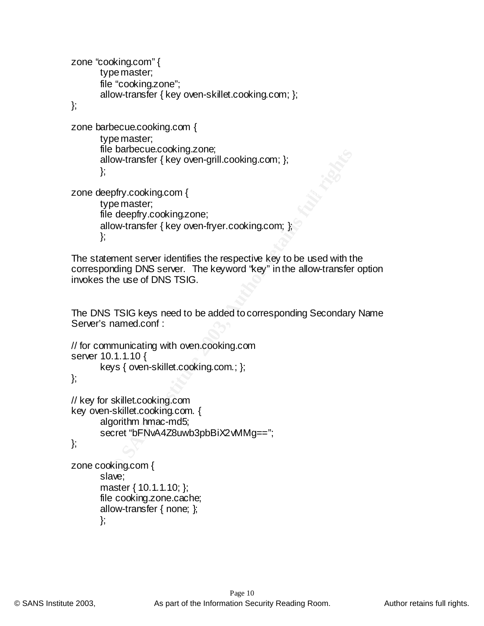**Example:**<br>
Contransfer { key oven-grill.cooking.com; };<br>
prify.cooking.com {<br>
pe master;<br>
deepfry.cooking.zone;<br>
covertransfer { key oven-fryer.cooking.com; };<br>
sment server identifies the respective key to be used with t  $\epsilon$  zone deepfry.cooking.com {  $\epsilon$  and  $\epsilon$  and  $\epsilon$  and  $\epsilon$  and  $\epsilon$  and  $\epsilon$  and  $\epsilon$  and  $\epsilon$  and  $\epsilon$  and  $\epsilon$  and  $\epsilon$  and  $\epsilon$  and  $\epsilon$  and  $\epsilon$  and  $\epsilon$  and  $\epsilon$  and  $\epsilon$  and  $\epsilon$  and  $\epsilon$  and  $\epsilon$  and  $\epsilon$  and zone "cooking.com" { type master; file "cooking.zone"; allow-transfer { key oven-skillet.cooking.com; }; }; zone barbecue.cooking.com { type master; file barbecue.cooking.zone; allow-transfer { key oven-grill.cooking.com; }; }; type master; file deepfry.cooking.zone;

```
allow-transfer { key oven-fryer.cooking.com; };
};
```
The statement server identifies the respective key to be used with the corresponding DNS server. The keyword "key" in the allow-transfer option invokes the use of DNS TSIG.

The DNS TSIG keys need to be added to corresponding Secondary Name Server's named.conf :

```
// for communicating with oven.cooking.com
server 10.1.1.10 {
```

```
keys { oven-skillet.cooking.com.; };
```
};

```
// key for skillet.cooking.com
key oven-skillet.cooking.com. {
      algorithm hmac-md5;
      secret "bFNvA4Z8uwb3pbBiX2vMMg==";
```
};

```
\mathcal{E}zone cooking.com {
    slave;
    master { 10.1.1.10; };
    file cooking.zone.cache;
    allow-transfer { none; };
    };
```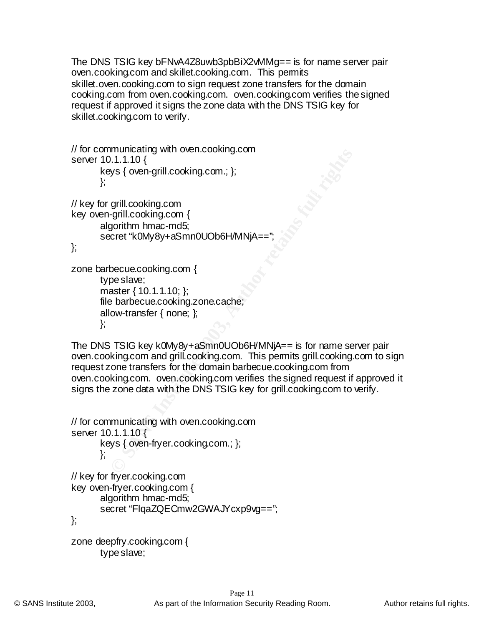The DNS TSIG key bFNvA4Z8uwb3pbBiX2vMMg== is for name server pair oven.cooking.com and skillet.cooking.com. This permits skillet.oven.cooking.com to sign request zone transfers for the domain cooking.com from oven.cooking.com. oven.cooking.com verifies the signed request if approved it signs the zone data with the DNS TSIG key for skillet.cooking.com to verify.

```
EXECT:<br>
INTRIGUATE AND THE COOKING.COMING.COMINE AND THE COOKING COMINATELY<br>
SANS INSTITUTED COOKING COMINATELY<br>
COOKING COOKING COMINATELY<br>
DECOUS THE TRIGUARY AND COOKING AND THE TRIGUARY OF THE COOKING CONTINUAL<br>
DESC
// for communicating with oven.cooking.com
server 10.1.1.10 {
         keys { oven-grill.cooking.com.; };
         };
// key for grill.cooking.com
key oven-grill.cooking.com {
         algorithm hmac-md5;
         secret "k0My8y+aSmn0UOb6H/MNjA=
};
zone barbecue.cooking.com {
         type slave;
         master { 10.1.1.10; };
         file barbecue.cooking.zone.cache;
         allow-transfer { none; };
         };
```
The DNS TSIG key k0My8y+aSmn0UOb6H/MNjA== is for name server pair oven.cooking.com and grill.cooking.com. This permits grill.cooking.com to sign request zone transfers for the domain barbecue.cooking.com from oven.cooking.com. oven.cooking.com verifies the signed request if approved it signs the zone data with the DNS TSIG key for grill.cooking.com to verify.

```
\left. \right\}// for communicating with oven.cooking.com
server 10.1.1.10 {
     keys { oven-fryer.cooking.com.; };
     };
// key for fryer.cooking.com
key oven-fryer.cooking.com {
     algorithm hmac-md5;
     secret "FlqaZQECmw2GWAJYcxp9vq==";
};
zone deepfry.cooking.com {
     type slave;
```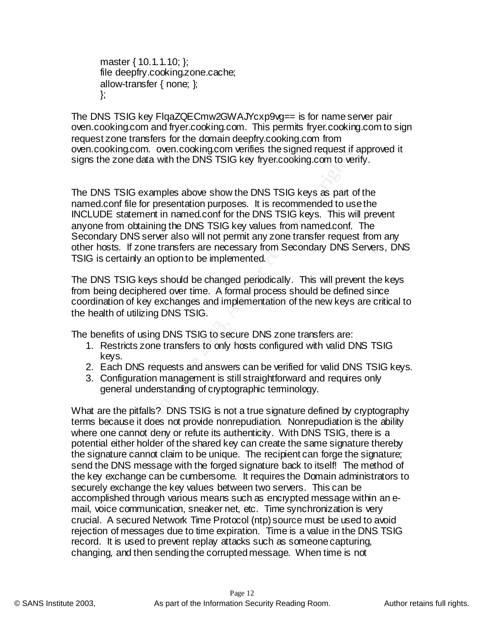master { 10.1.1.10; }; file deepfry.cooking.zone.cache; allow-transfer { none; }; };

The DNS TSIG key FlqaZQECmw2GWAJYcxp9vg== is for name server pair oven.cooking.com and fryer.cooking.com. This permits fryer.cooking.com to sign request zone transfers for the domain deepfry.cooking.com from oven.cooking.com. oven.cooking.com verifies the signed request if approved it signs the zone data with the DNS TSIG key fryer.cooking.com to verify.

Kingtoni. Oven.cooking.com welles the syglied request in -<br>
2006 data with the DNS TSIG key fryer.cooking.com to ven<br>
5 TSIG examples above show the DNS TSIG keys as part of<br>
5 Estement in named.conf for the DNS TSIG keys. The DNS TSIG examples above show the DNS TSIG keys as part of the named.conf file for presentation purposes. It is recommended to use the INCLUDE statement in named.conf for the DNS TSIG keys. This will prevent anyone from obtaining the DNS TSIG key values from named.conf. The Secondary DNS server also will not permit any zone transfer request from any other hosts. If zone transfers are necessary from Secondary DNS Servers, DNS TSIG is certainly an option to be implemented.

The DNS TSIG keys should be changed periodically. This will prevent the keys from being deciphered over time. A formal process should be defined since coordination of key exchanges and implementation of the new keys are critical to the health of utilizing DNS TSIG.

The benefits of using DNS TSIG to secure DNS zone transfers are:

- 1. Restricts zone transfers to only hosts configured with valid DNS TSIG keys.
- 2. Each DNS requests and answers can be verified for valid DNS TSIG keys.
- 3. Configuration management is still straightforward and requires only general understanding of cryptographic terminology.

crucial. A secured Network Time Protocol (ntp) source must be used to avoid What are the pitfalls? DNS TSIG is not a true signature defined by cryptography terms because it does not provide nonrepudiation. Nonrepudiation is the ability where one cannot deny or refute its authenticity. With DNS TSIG, there is a potential either holder of the shared key can create the same signature thereby the signature cannot claim to be unique. The recipient can forge the signature; send the DNS message with the forged signature back to itself! The method of the key exchange can be cumbersome. It requires the Domain administrators to securely exchange the key values between two servers. This can be accomplished through various means such as encrypted message within an email, voice communication, sneaker net, etc. Time synchronization is very rejection of messages due to time expiration. Time is a value in the DNS TSIG record. It is used to prevent replay attacks such as someone capturing, changing, and then sending the corrupted message. When time is not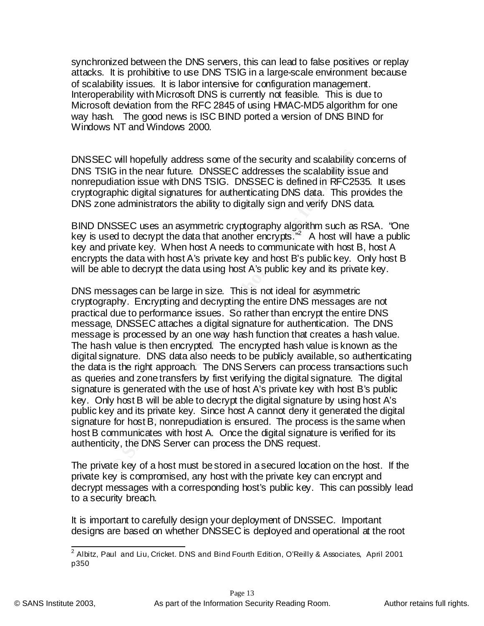synchronized between the DNS servers, this can lead to false positives or replay attacks. It is prohibitive to use DNS TSIG in a large-scale environment because of scalability issues. It is labor intensive for configuration management. Interoperability with Microsoft DNS is currently not feasible. This is due to Microsoft deviation from the RFC 2845 of using HMAC-MD5 algorithm for one way hash. The good news is ISC BIND ported a version of DNS BIND for Windows NT and Windows 2000.

cryptographic digital signatures for authenticating DNS data. This provides the DNSSEC will hopefully address some of the security and scalability concerns of DNS TSIG in the near future. DNSSEC addresses the scalability issue and nonrepudiation issue with DNS TSIG. DNSSEC is defined in RFC2535. It uses DNS zone administrators the ability to digitally sign and verify DNS data.

BIND DNSSEC uses an asymmetric cryptography algorithm such as RSA. "One key is used to decrypt the data that another encrypts."<sup>2</sup> A host will have a public key and private key. When host A needs to communicate with host B, host A encrypts the data with host A's private key and host B's public key. Only host B will be able to decrypt the data using host A's public key and its private key.

Complete the security and scalability<br>C in the near future. DNSSEC addresses the scalability is<br>diation issue with DNS TSIG. DNSSEC is defined in RFC2<br>sphic digital signatures for authenticating DNS data. This pe administr DNS messages can be large in size. This is not ideal for asymmetric cryptography. Encrypting and decrypting the entire DNS messages are not practical due to performance issues. So rather than encrypt the entire DNS message, DNSSEC attaches a digital signature for authentication. The DNS message is processed by an one way hash function that creates a hash value. The hash value is then encrypted. The encrypted hash value is known as the digital signature. DNS data also needs to be publicly available, so authenticating the data is the right approach. The DNS Servers can process transactions such as queries and zone transfers by first verifying the digital signature. The digital signature is generated with the use of host A's private key with host B's public key. Only host B will be able to decrypt the digital signature by using host A's public key and its private key. Since host A cannot deny it generated the digital signature for host B, nonrepudiation is ensured. The process is the same when host B communicates with host A. Once the digital signature is verified for its authenticity, the DNS Server can process the DNS request.

The private key of a host must be stored in a secured location on the host. If the private key is compromised, any host with the private key can encrypt and decrypt messages with a corresponding host's public key. This can possibly lead to a security breach.

It is important to carefully design your deployment of DNSSEC. Important designs are based on whether DNSSEC is deployed and operational at the root

\_\_\_\_\_\_\_\_\_\_\_\_\_\_\_\_\_\_\_\_\_\_\_\_\_\_\_\_\_\_\_\_\_\_\_<br><sup>2</sup> Albitz, Paul and Liu, Cricket. DNS and Bind Fourth Edition, O'Reilly & Associates, April 2001 p350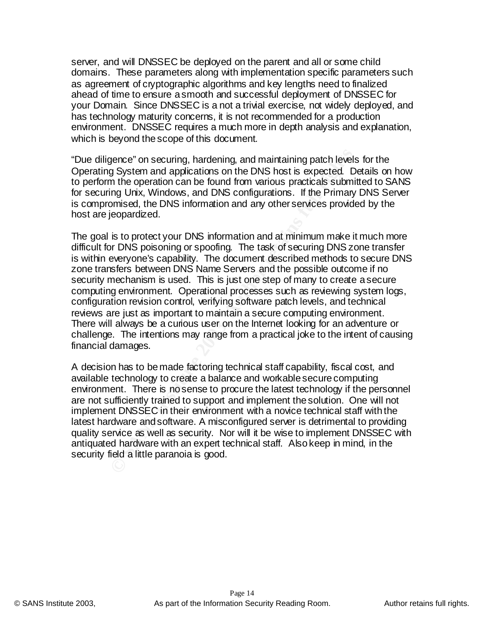server, and will DNSSEC be deployed on the parent and all or some child domains. These parameters along with implementation specific parameters such as agreement of cryptographic algorithms and key lengths need to finalized ahead of time to ensure a smooth and successful deployment of DNSSEC for your Domain. Since DNSSEC is a not a trivial exercise, not widely deployed, and has technology maturity concerns, it is not recommended for a production environment. DNSSEC requires a much more in depth analysis and explanation, which is beyond the scope of this document.

for securing Unix, Windows, and DNS configurations. If the Primary DNS Server "Due diligence" on securing, hardening, and maintaining patch levels for the Operating System and applications on the DNS host is expected. Details on how to perform the operation can be found from various practicals submitted to SANS is compromised, the DNS information and any other services provided by the host are jeopardized.

gence" on securing, hardening, and maintaining patch levels<br>g System and applications on the DNS host is expected. Dom the operation can be found from various practicals subming Unix, Windows, and DNS configurations. If th The goal is to protect your DNS information and at minimum make it much more difficult for DNS poisoning or spoofing. The task of securing DNS zone transfer is within everyone's capability. The document described methods to secure DNS zone transfers between DNS Name Servers and the possible outcome if no security mechanism is used. This is just one step of many to create a secure computing environment. Operational processes such as reviewing system logs, configuration revision control, verifying software patch levels, and technical reviews are just as important to maintain a secure computing environment. There will always be a curious user on the Internet looking for an adventure or challenge. The intentions may range from a practical joke to the intent of causing financial damages.

A decision has to be made factoring technical staff capability, fiscal cost, and available technology to create a balance and workable secure computing environment. There is no sense to procure the latest technology if the personnel are not sufficiently trained to support and implement the solution. One will not implement DNSSEC in their environment with a novice technical staff with the latest hardware and software. A misconfigured server is detrimental to providing quality service as well as security. Nor will it be wise to implement DNSSEC with antiquated hardware with an expert technical staff. Also keep in mind, in the security field a little paranoia is good.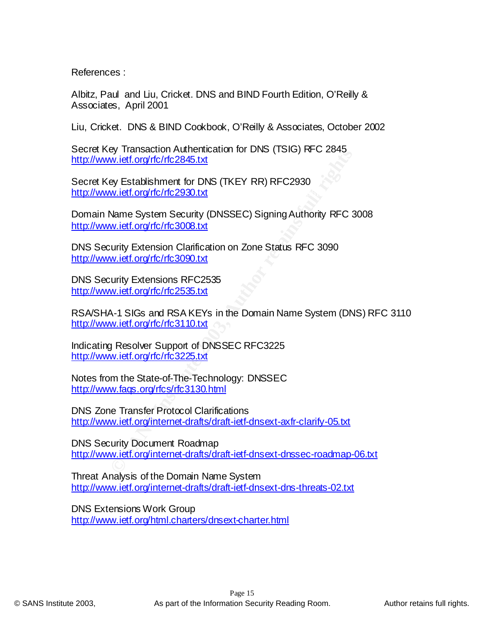References :

Albitz, Paul and Liu, Cricket. DNS and BIND Fourth Edition, O'Reilly & Associates, April 2001

Liu, Cricket. DNS & BIND Cookbook, O'Reilly & Associates, October 2002

Secret Key Transaction Authentication for DNS (TSIG) RFC 2845 http://www.ietf.org/rfc/rfc2845.txt

http://www.ietf.org/rfc/rfc2930.txt Secret Key Establishment for DNS (TKEY RR) RFC2930

**Whilesaction Administration In Disk (1510) ATC 2643**<br>
Whilestroph Administration In DISK (TKEY RR) RFC2930<br>
Whilest forg/ffc/rfc2930.txt<br>
Name System Security (DNSSEC) Signing Authority RFC 3<br>
Whilest forg/ffc/rfc3008.txt Domain Name System Security (DNSSEC) Signing Authority RFC 3008 http://www.ietf.org/rfc/rfc3008.txt

DNS Security Extension Clarification on Zone Status RFC 3090 http://www.ietf.org/rfc/rfc3090.txt

DNS Security Extensions RFC2535 http://www.ietf.org/rfc/rfc2535.txt

RSA/SHA-1 SIGs and RSA KEYs in the Domain Name System (DNS) RFC 3110 http://www.ietf.org/rfc/rfc3110.txt

Indicating Resolver Support of DNSSEC RFC3225 http://www.ietf.org/rfc/rfc3225.txt

Notes from the State-of-The-Technology: DNSSEC http://www.faqs.org/rfcs/rfc3130.html

DNS Zone Transfer Protocol Clarifications http://www.ietf.org/internet-drafts/draft-ietf-dnsext-axfr-clarify-05.txt

DNS Security Document Roadmap http://www.ietf.org/internet-drafts/draft-ietf-dnsext-dnssec-roadmap-06.txt

Threat Analysis of the Domain Name System http://www.ietf.org/internet-drafts/draft-ietf-dnsext-dns-threats-02.txt

<u>http://www.ietf.org/html.charters/dnsext-charter.html</u> DNS Extensions Work Group